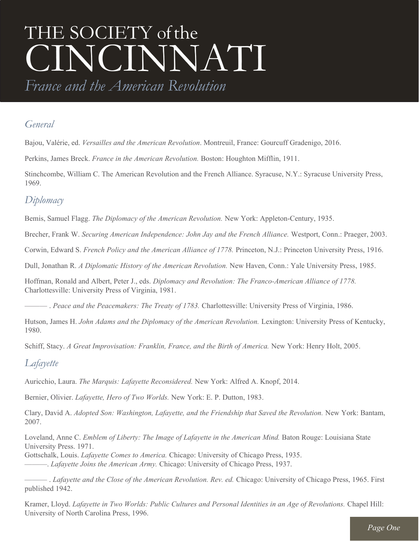# THE SOCIETY of the CINCINNATI

*France and the American Revolution*

## *General*

Bajou, Valérie, ed. *Versailles and the American Revolution*. Montreuil, France: Gourcuff Gradenigo, 2016.

Perkins, James Breck. *France in the American Revolution.* Boston: Houghton Mifflin, 1911.

Stinchcombe, William C. The American Revolution and the French Alliance. Syracuse, N.Y.: Syracuse University Press, 1969.

# *Diplomacy*

Bemis, Samuel Flagg. *The Diplomacy of the American Revolution.* New York: Appleton-Century, 1935.

Brecher, Frank W. *Securing American Independence: John Jay and the French Alliance.* Westport, Conn.: Praeger, 2003.

Corwin, Edward S. *French Policy and the American Alliance of 1778.* Princeton, N.J.: Princeton University Press, 1916.

Dull, Jonathan R. *A Diplomatic History of the American Revolution.* New Haven, Conn.: Yale University Press, 1985.

Hoffman, Ronald and Albert, Peter J., eds. *Diplomacy and Revolution: The Franco-American Alliance of 1778.* Charlottesville: University Press of Virginia, 1981.

——— . *Peace and the Peacemakers: The Treaty of 1783.* Charlottesville: University Press of Virginia, 1986.

Hutson, James H. *John Adams and the Diplomacy of the American Revolution.* Lexington: University Press of Kentucky, 1980.

Schiff, Stacy. *A Great Improvisation: Franklin, France, and the Birth of America.* New York: Henry Holt, 2005.

## *Lafayette*

Auricchio, Laura. *The Marquis: Lafayette Reconsidered.* New York: Alfred A. Knopf, 2014.

Bernier, Olivier. *Lafayette, Hero of Two Worlds.* New York: E. P. Dutton, 1983.

Clary, David A. *Adopted Son: Washington, Lafayette, and the Friendship that Saved the Revolution.* New York: Bantam, 2007.

Loveland, Anne C. *Emblem of Liberty: The Image of Lafayette in the American Mind.* Baton Rouge: Louisiana State University Press. 1971.

Gottschalk, Louis. *Lafayette Comes to America.* Chicago: University of Chicago Press, 1935.

———. *Lafayette Joins the American Army.* Chicago: University of Chicago Press, 1937.

——— . *Lafayette and the Close of the American Revolution. Rev. ed.* Chicago: University of Chicago Press, 1965. First published 1942.

Kramer, Lloyd. *Lafayette in Two Worlds: Public Cultures and Personal Identities in an Age of Revolutions.* Chapel Hill: University of North Carolina Press, 1996.